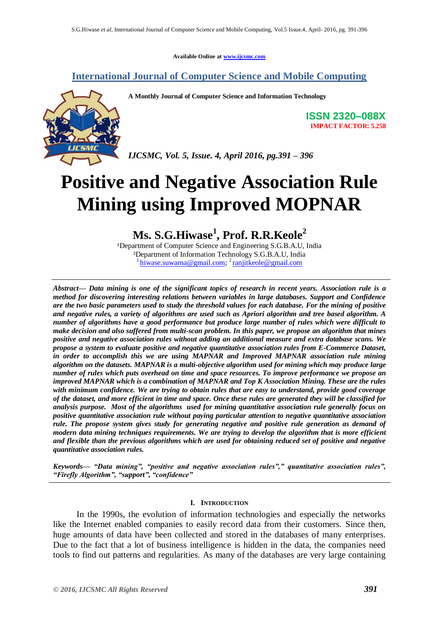**Available Online at [www.ijcsmc.com](http://www.ijcsmc.com/)**

## **International Journal of Computer Science and Mobile Computing**



**A Monthly Journal of Computer Science and Information Technology**

**ISSN 2320–088X IMPACT FACTOR: 5.258**

*IJCSMC, Vol. 5, Issue. 4, April 2016, pg.391 – 396*

# **Positive and Negative Association Rule Mining using Improved MOPNAR**

# **Ms. S.G.Hiwase<sup>1</sup> , Prof. R.R.Keole<sup>2</sup>**

<sup>1</sup>Department of Computer Science and Engineering S.G.B.A.U, India ²Department of Information Technology S.G.B.A.U, India <sup>1</sup>[hiwase.suwarna@gmail.com;](mailto:hiwase.suwarna@gmail.com)<sup>2</sup> [ranjitkeole@gmail.com](mailto:ranjitkeole@gmail.com)

*Abstract— Data mining is one of the significant topics of research in recent years. Association rule is a method for discovering interesting relations between variables in large databases. Support and Confidence are the two basic parameters used to study the threshold values for each database. For the mining of positive and negative rules, a variety of algorithms are used such as Apriori algorithm and tree based algorithm. A number of algorithms have a good performance but produce large number of rules which were difficult to make decision and also suffered from multi-scan problem. In this paper, we propose an algorithm that mines positive and negative association rules without adding an additional measure and extra database scans. We propose a system to evaluate positive and negative quantitative association rules from E-Commerce Dataset, in order to accomplish this we are using MAPNAR and Improved MAPNAR association rule mining algorithm on the datasets. MAPNAR is a multi-objective algorithm used for mining which may produce large number of rules which puts overhead on time and space resources. To improve performance we propose an improved MAPNAR which is a combination of MAPNAR and Top K Association Mining. These are the rules with minimum confidence. We are trying to obtain rules that are easy to understand, provide good coverage of the dataset, and more efficient in time and space. Once these rules are generated they will be classified for analysis purpose. Most of the algorithms used for mining quantitative association rule generally focus on positive quantitative association rule without paying particular attention to negative quantitative association rule. The propose system gives study for generating negative and positive rule generation as demand of modern data mining techniques requirements. We are trying to develop the algorithm that is more efficient and flexible than the previous algorithms which are used for obtaining reduced set of positive and negative quantitative association rules.*

Keywords— "Data mining", "positive and negative association rules"," quantitative association rules", *―Firefly Algorithm‖, ―support‖, ―confidence‖*

### **I. INTRODUCTION**

 In the 1990s, the evolution of information technologies and especially the networks like the Internet enabled companies to easily record data from their customers. Since then, huge amounts of data have been collected and stored in the databases of many enterprises. Due to the fact that a lot of business intelligence is hidden in the data, the companies need tools to find out patterns and regularities. As many of the databases are very large containing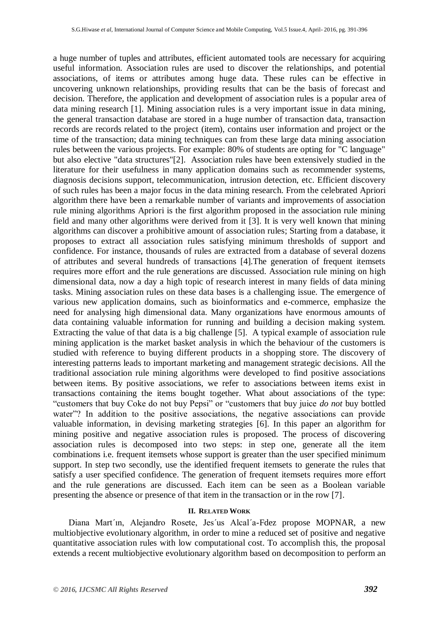a huge number of tuples and attributes, efficient automated tools are necessary for acquiring useful information. Association rules are used to discover the relationships, and potential associations, of items or attributes among huge data. These rules can be effective in uncovering unknown relationships, providing results that can be the basis of forecast and decision. Therefore, the application and development of association rules is a popular area of data mining research [1]. Mining association rules is a very important issue in data mining, the general transaction database are stored in a huge number of transaction data, transaction records are records related to the project (item), contains user information and project or the time of the transaction; data mining techniques can from these large data mining association rules between the various projects. For example: 80% of students are opting for "C language" but also elective "data structures"[2]. Association rules have been extensively studied in the literature for their usefulness in many application domains such as recommender systems, diagnosis decisions support, telecommunication, intrusion detection, etc. Efficient discovery of such rules has been a major focus in the data mining research. From the celebrated Apriori algorithm there have been a remarkable number of variants and improvements of association rule mining algorithms Apriori is the first algorithm proposed in the association rule mining field and many other algorithms were derived from it [3]. It is very well known that mining algorithms can discover a prohibitive amount of association rules; Starting from a database, it proposes to extract all association rules satisfying minimum thresholds of support and confidence. For instance, thousands of rules are extracted from a database of several dozens of attributes and several hundreds of transactions [4].The generation of frequent itemsets requires more effort and the rule generations are discussed. Association rule mining on high dimensional data, now a day a high topic of research interest in many fields of data mining tasks. Mining association rules on these data bases is a challenging issue. The emergence of various new application domains, such as bioinformatics and e-commerce, emphasize the need for analysing high dimensional data. Many organizations have enormous amounts of data containing valuable information for running and building a decision making system. Extracting the value of that data is a big challenge [5]. A typical example of association rule mining application is the market basket analysis in which the behaviour of the customers is studied with reference to buying different products in a shopping store. The discovery of interesting patterns leads to important marketing and management strategic decisions. All the traditional association rule mining algorithms were developed to find positive associations between items. By positive associations, we refer to associations between items exist in transactions containing the items bought together. What about associations of the type: "customers that buy Coke do not buy Pepsi" or "customers that buy juice *do not* buy bottled water"? In addition to the positive associations, the negative associations can provide valuable information, in devising marketing strategies [6]. In this paper an algorithm for mining positive and negative association rules is proposed. The process of discovering association rules is decomposed into two steps: in step one, generate all the item combinations i.e. frequent itemsets whose support is greater than the user specified minimum support. In step two secondly, use the identified frequent itemsets to generate the rules that satisfy a user specified confidence. The generation of frequent itemsets requires more effort and the rule generations are discussed. Each item can be seen as a Boolean variable presenting the absence or presence of that item in the transaction or in the row [7].

#### **II. RELATED WORK**

 Diana Mart´ın, Alejandro Rosete, Jes´us Alcal´a-Fdez propose MOPNAR, a new multiobjective evolutionary algorithm, in order to mine a reduced set of positive and negative quantitative association rules with low computational cost. To accomplish this, the proposal extends a recent multiobjective evolutionary algorithm based on decomposition to perform an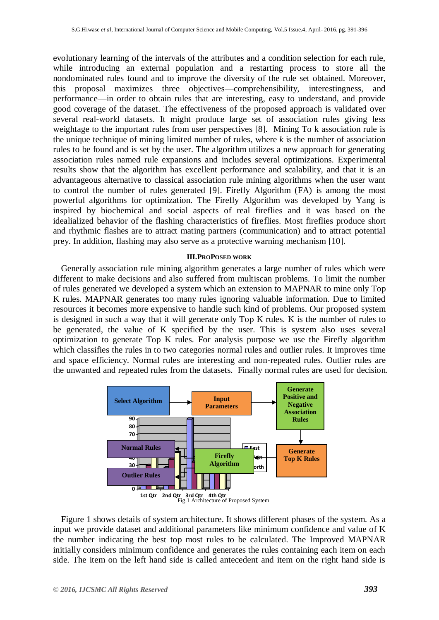evolutionary learning of the intervals of the attributes and a condition selection for each rule, while introducing an external population and a restarting process to store all the nondominated rules found and to improve the diversity of the rule set obtained. Moreover, this proposal maximizes three objectives—comprehensibility, interestingness, and performance—in order to obtain rules that are interesting, easy to understand, and provide good coverage of the dataset. The effectiveness of the proposed approach is validated over several real-world datasets. It might produce large set of association rules giving less weightage to the important rules from user perspectives [8]. Mining To k association rule is the unique technique of mining limited number of rules, where *k* is the number of association rules to be found and is set by the user. The algorithm utilizes a new approach for generating association rules named rule expansions and includes several optimizations. Experimental results show that the algorithm has excellent performance and scalability, and that it is an advantageous alternative to classical association rule mining algorithms when the user want to control the number of rules generated [9]. Firefly Algorithm (FA) is among the most powerful algorithms for optimization. The Firefly Algorithm was developed by Yang is inspired by biochemical and social aspects of real fireflies and it was based on the idealialized behavior of the flashing characteristics of fireflies. Most fireflies produce short and rhythmic flashes are to attract mating partners (communication) and to attract potential prey. In addition, flashing may also serve as a protective warning mechanism [10].

#### **III.PROPOSED WORK**

Generally association rule mining algorithm generates a large number of rules which were different to make decisions and also suffered from multiscan problems. To limit the number of rules generated we developed a system which an extension to MAPNAR to mine only Top K rules. MAPNAR generates too many rules ignoring valuable information. Due to limited resources it becomes more expensive to handle such kind of problems. Our proposed system is designed in such a way that it will generate only Top K rules. K is the number of rules to be generated, the value of K specified by the user. This is system also uses several optimization to generate Top K rules. For analysis purpose we use the Firefly algorithm which classifies the rules in to two categories normal rules and outlier rules. It improves time and space efficiency. Normal rules are interesting and non-repeated rules. Outlier rules are the unwanted and repeated rules from the datasets. Finally normal rules are used for decision.



Figure 1 shows details of system architecture. It shows different phases of the system. As a input we provide dataset and additional parameters like minimum confidence and value of K the number indicating the best top most rules to be calculated. The Improved MAPNAR initially considers minimum confidence and generates the rules containing each item on each side. The item on the left hand side is called antecedent and item on the right hand side is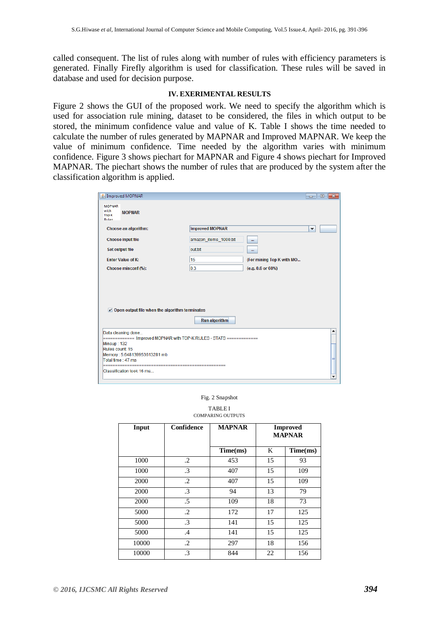called consequent. The list of rules along with number of rules with efficiency parameters is generated. Finally Firefly algorithm is used for classification. These rules will be saved in database and used for decision purpose.

#### **IV. EXERIMENTAL RESULTS**

Figure 2 shows the GUI of the proposed work. We need to specify the algorithm which is used for association rule mining, dataset to be considered, the files in which output to be stored, the minimum confidence value and value of K. Table I shows the time needed to calculate the number of rules generated by MAPNAR and Improved MAPNAR. We keep the value of minimum confidence. Time needed by the algorithm varies with minimum confidence. Figure 3 shows piechart for MAPNAR and Figure 4 shows piechart for Improved MAPNAR. The piechart shows the number of rules that are produced by the system after the classification algorithm is applied.

|                                                                                                                                                                                                                                       |                        |                           | $-x$<br>l o<br>$\Box$ |
|---------------------------------------------------------------------------------------------------------------------------------------------------------------------------------------------------------------------------------------|------------------------|---------------------------|-----------------------|
| <b>MOPNAR</b><br>with<br><b>MOPNAR</b><br><b>Top K</b><br>Rules                                                                                                                                                                       |                        |                           |                       |
| Choose an algorithm:                                                                                                                                                                                                                  | <b>Improved MOPNAR</b> | ▼                         |                       |
| <b>Choose input file</b>                                                                                                                                                                                                              | amazon_items_1000.txt  | m.                        |                       |
| <b>Set output file</b>                                                                                                                                                                                                                | out.txt                |                           |                       |
| <b>Enter Value of K:</b>                                                                                                                                                                                                              | 15                     | (For mining Top K with MO |                       |
| Choose minconf (%):                                                                                                                                                                                                                   | 0.3                    | (e.g. 0.6 or 60%)         |                       |
| $\nu$ Open output file when the algorithm terminates                                                                                                                                                                                  | <b>Run algorithm</b>   |                           |                       |
| Data cleaning done<br>============ Improved MOPNAR with TOP-K RULES - STATS =============<br>Minsup: 132<br>Rules count: 15<br>Memory: 5.648139953613281 mb<br>Total time: 47 ms<br>--------------------<br>Classification took 16 ms |                        |                           | ▲                     |

#### Fig. 2 Snapshot

TABLE I COMPARING OUTPUTS

| Input | <b>Confidence</b> | <b>MAPNAR</b> | <b>Improved</b><br><b>MAPNAR</b> |          |
|-------|-------------------|---------------|----------------------------------|----------|
|       |                   | Time(ms)      | K                                | Time(ms) |
| 1000  | $\cdot$           | 453           | 15                               | 93       |
| 1000  | $\cdot$ 3         | 407           | 15                               | 109      |
| 2000  | $\cdot$ .2        | 407           | 15                               | 109      |
| 2000  | $\cdot$ 3         | 94            | 13                               | 79       |
| 2000  | .5                | 109           | 18                               | 73       |
| 5000  | $\cdot$           | 172           | 17                               | 125      |
| 5000  | $\cdot$ 3         | 141           | 15                               | 125      |
| 5000  | .4                | 141           | 15                               | 125      |
| 10000 | $\cdot$           | 297           | 18                               | 156      |
| 10000 | $\cdot$ 3         | 844           | 22                               | 156      |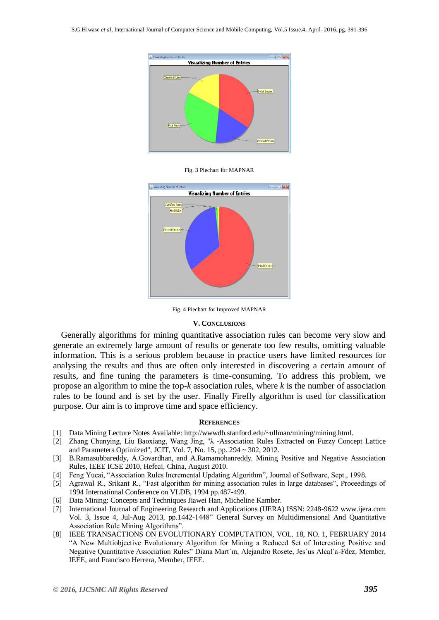

Fig. 3 Piechart for MAPNAR



Fig. 4 Piechart for Improved MAPNAR

#### **V. CONCLUSIONS**

Generally algorithms for mining quantitative association rules can become very slow and generate an extremely large amount of results or generate too few results, omitting valuable information. This is a serious problem because in practice users have limited resources for analysing the results and thus are often only interested in discovering a certain amount of results, and fine tuning the parameters is time-consuming. To address this problem, we propose an algorithm to mine the top-*k* association rules, where *k* is the number of association rules to be found and is set by the user. Finally Firefly algorithm is used for classification purpose. Our aim is to improve time and space efficiency.

#### **REFERENCES**

- [1] Data Mining Lecture Notes Available: [http://wwwdb.stanford.edu/~ullman/mining/mining.html.](http://wwwdb.stanford.edu/~ullman/mining/mining.html)
- [2] Zhang Chunying, Liu Baoxiang, Wang Jing, "λ -Association Rules Extracted on Fuzzy Concept Lattice and Parameters Optimized", JCIT, Vol. 7, No. 15, pp. 294 ~ 302, 2012.
- [3] B.Ramasubbareddy, A.Govardhan, and A.Ramamohanreddy. Mining Positive and Negative Association Rules, IEEE ICSE 2010, Hefeai, China, August 2010.
- [4] Feng Yucai, "Association Rules Incremental Updating Algorithm", Journal of Software, Sept., 1998.
- [5] Agrawal R., Srikant R., "Fast algorithm for mining association rules in large databases", Proceedings of 1994 International Conference on VLDB, 1994 pp.487-499.
- [6] Data Mining: Concepts and Techniques Jiawei Han, Micheline Kamber.
- [7] International Journal of Engineering Research and Applications (IJERA) ISSN: 2248-9622 www.ijera.com Vol. 3, Issue 4, Jul-Aug 2013, pp.1442-1448" General Survey on Multidimensional And Quantitative Association Rule Mining Algorithms".
- [8] IEEE TRANSACTIONS ON EVOLUTIONARY COMPUTATION, VOL. 18, NO. 1, FEBRUARY 2014 "A New Multiobjective Evolutionary Algorithm for Mining a Reduced Set of Interesting Positive and Negative Quantitative Association Rules" Diana Mart´ın, Alejandro Rosete, Jes´us Alcal´a-Fdez, Member, IEEE, and Francisco Herrera, Member, IEEE.